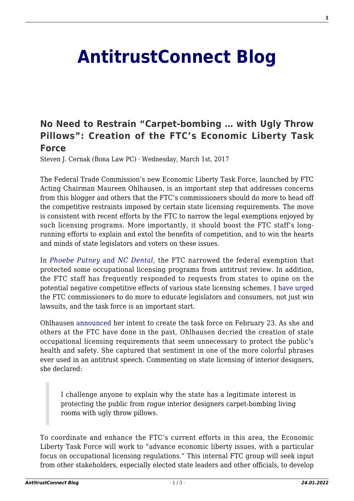## **[AntitrustConnect Blog](http://antitrustconnect.com/)**

## **[No Need to Restrain "Carpet-bombing … with Ugly Throw](http://antitrustconnect.com/2017/03/01/no-need-to-restrain-carpet-bombing-with-ugly-throw-pillows-creation-of-the-ftcs-economic-liberty-task-force/) [Pillows": Creation of the FTC's Economic Liberty Task](http://antitrustconnect.com/2017/03/01/no-need-to-restrain-carpet-bombing-with-ugly-throw-pillows-creation-of-the-ftcs-economic-liberty-task-force/) [Force](http://antitrustconnect.com/2017/03/01/no-need-to-restrain-carpet-bombing-with-ugly-throw-pillows-creation-of-the-ftcs-economic-liberty-task-force/)**

Steven J. Cernak (Bona Law PC) · Wednesday, March 1st, 2017

The Federal Trade Commission's new Economic Liberty Task Force, launched by FTC Acting Chairman Maureen Ohlhausen, is an important step that addresses concerns from this blogger and others that the FTC's commissioners should do more to head off the competitive restraints imposed by certain state licensing requirements. The move is consistent with recent efforts by the FTC to narrow the legal exemptions enjoyed by such licensing programs. More importantly, it should boost the FTC staff's longrunning efforts to explain and extol the benefits of competition, and to win the hearts and minds of state legislators and voters on these issues.

In *[Phoebe Putney](http://antitrustconnect.com/2015/04/13/phoebe-putney-nc-board-winning-legal-battles-not-hearts-and-minds/)* [and](http://antitrustconnect.com/2015/04/13/phoebe-putney-nc-board-winning-legal-battles-not-hearts-and-minds/) *[NC Dental](http://antitrustconnect.com/2015/04/13/phoebe-putney-nc-board-winning-legal-battles-not-hearts-and-minds/)*, the FTC narrowed the federal exemption that protected some occupational licensing programs from antitrust review. In addition, the FTC staff has frequently responded to requests from states to opine on the potential negative competitive effects of various state licensing schemes. I [have](http://antitrustconnect.com/2015/04/13/phoebe-putney-nc-board-winning-legal-battles-not-hearts-and-minds/) [urged](http://antitrustconnect.com/2015/08/19/slower-crony-capitalism-the-immediate-aftermath-of-nc-board/) the FTC commissioners to do more to educate legislators and consumers, not just win lawsuits, and the task force is an important start.

Ohlhausen [announced](https://www.ftc.gov/public-statements/2017/02/advancing-economic-liberty) her intent to create the task force on February 23. As she and others at the FTC have done in the past, Ohlhausen decried the creation of state occupational licensing requirements that seem unnecessary to protect the public's health and safety. She captured that sentiment in one of the more colorful phrases ever used in an antitrust speech. Commenting on state licensing of interior designers, she declared:

I challenge anyone to explain why the state has a legitimate interest in protecting the public from rogue interior designers carpet-bombing living rooms with ugly throw pillows.

To coordinate and enhance the FTC's current efforts in this area, the Economic Liberty Task Force will work to "advance economic liberty issues, with a particular focus on occupational licensing regulations." This internal FTC group will seek input from other stakeholders, especially elected state leaders and other officials, to develop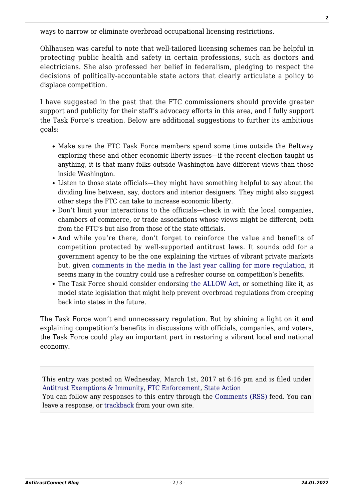ways to narrow or eliminate overbroad occupational licensing restrictions.

Ohlhausen was careful to note that well-tailored licensing schemes can be helpful in protecting public health and safety in certain professions, such as doctors and electricians. She also professed her belief in federalism, pledging to respect the decisions of politically-accountable state actors that clearly articulate a policy to displace competition.

I have suggested in the past that the FTC commissioners should provide greater support and publicity for their staff's advocacy efforts in this area, and I fully support the Task Force's creation. Below are additional suggestions to further its ambitious goals:

- Make sure the FTC Task Force members spend some time outside the Beltway exploring these and other economic liberty issues—if the recent election taught us anything, it is that many folks outside Washington have different views than those inside Washington.
- Listen to those state officials—they might have something helpful to say about the dividing line between, say, doctors and interior designers. They might also suggest other steps the FTC can take to increase economic liberty.
- Don't limit your interactions to the officials—check in with the local companies, chambers of commerce, or trade associations whose views might be different, both from the FTC's but also from those of the state officials.
- And while you're there, don't forget to reinforce the value and benefits of competition protected by well-supported antitrust laws. It sounds odd for a government agency to be the one explaining the virtues of vibrant private markets but, given [comments in the media in the last year calling for more regulation,](http://antitrustconnect.com/2016/03/31/mainstream-media-is-finally-covering-antitrust-policy-antitrust-practitioners-should-join-the-discussion/) it seems many in the country could use a refresher course on competition's benefits.
- The Task Force should consider endorsing [the ALLOW Act](http://antitrustconnect.com/2016/08/25/the-allow-act-another-helpful-step-against-protectionist-licensing/), or something like it, as model state legislation that might help prevent overbroad regulations from creeping back into states in the future.

The Task Force won't end unnecessary regulation. But by shining a light on it and explaining competition's benefits in discussions with officials, companies, and voters, the Task Force could play an important part in restoring a vibrant local and national economy.

This entry was posted on Wednesday, March 1st, 2017 at 6:16 pm and is filed under [Antitrust Exemptions & Immunity,](http://antitrustconnect.com/category/antitrust-exemptions-immunity/) [FTC Enforcement](http://antitrustconnect.com/category/ftc-enforcement/), [State Action](http://antitrustconnect.com/category/state-action/) You can follow any responses to this entry through the [Comments \(RSS\)](http://antitrustconnect.com/comments/feed/) feed. You can leave a response, or [trackback](http://antitrustconnect.com/2017/03/01/no-need-to-restrain-carpet-bombing-with-ugly-throw-pillows-creation-of-the-ftcs-economic-liberty-task-force/trackback/) from your own site.